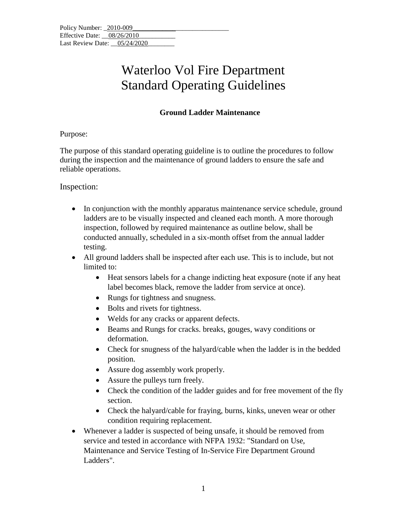## Waterloo Vol Fire Department Standard Operating Guidelines

## **Ground Ladder Maintenance**

#### Purpose:

The purpose of this standard operating guideline is to outline the procedures to follow during the inspection and the maintenance of ground ladders to ensure the safe and reliable operations.

#### Inspection:

- In conjunction with the monthly apparatus maintenance service schedule, ground ladders are to be visually inspected and cleaned each month. A more thorough inspection, followed by required maintenance as outline below, shall be conducted annually, scheduled in a six-month offset from the annual ladder testing.
- All ground ladders shall be inspected after each use. This is to include, but not limited to:
	- Heat sensors labels for a change indicting heat exposure (note if any heat label becomes black, remove the ladder from service at once).
	- Rungs for tightness and snugness.
	- Bolts and rivets for tightness.
	- Welds for any cracks or apparent defects.
	- Beams and Rungs for cracks. breaks, gouges, wavy conditions or deformation.
	- Check for snugness of the halyard/cable when the ladder is in the bedded position.
	- Assure dog assembly work properly.
	- Assure the pulleys turn freely.
	- Check the condition of the ladder guides and for free movement of the fly section.
	- Check the halyard/cable for fraying, burns, kinks, uneven wear or other condition requiring replacement.
- Whenever a ladder is suspected of being unsafe, it should be removed from service and tested in accordance with NFPA 1932: "Standard on Use, Maintenance and Service Testing of In-Service Fire Department Ground Ladders".